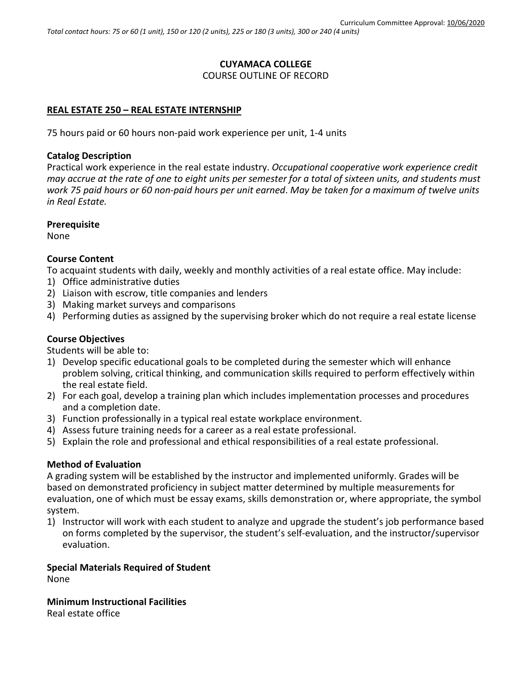# **CUYAMACA COLLEGE** COURSE OUTLINE OF RECORD

# **REAL ESTATE 250 – REAL ESTATE INTERNSHIP**

75 hours paid or 60 hours non-paid work experience per unit, 1-4 units

## **Catalog Description**

Practical work experience in the real estate industry. *Occupational cooperative work experience credit may accrue at the rate of one to eight units per semester for a total of sixteen units, and students must work 75 paid hours or 60 non-paid hours per unit earned*. *May be taken for a maximum of twelve units in Real Estate.*

#### **Prerequisite**

None

#### **Course Content**

To acquaint students with daily, weekly and monthly activities of a real estate office. May include:

- 1) Office administrative duties
- 2) Liaison with escrow, title companies and lenders
- 3) Making market surveys and comparisons
- 4) Performing duties as assigned by the supervising broker which do not require a real estate license

## **Course Objectives**

Students will be able to:

- 1) Develop specific educational goals to be completed during the semester which will enhance problem solving, critical thinking, and communication skills required to perform effectively within the real estate field.
- 2) For each goal, develop a training plan which includes implementation processes and procedures and a completion date.
- 3) Function professionally in a typical real estate workplace environment.
- 4) Assess future training needs for a career as a real estate professional.
- 5) Explain the role and professional and ethical responsibilities of a real estate professional.

## **Method of Evaluation**

A grading system will be established by the instructor and implemented uniformly. Grades will be based on demonstrated proficiency in subject matter determined by multiple measurements for evaluation, one of which must be essay exams, skills demonstration or, where appropriate, the symbol system.

1) Instructor will work with each student to analyze and upgrade the student's job performance based on forms completed by the supervisor, the student's self-evaluation, and the instructor/supervisor evaluation.

#### **Special Materials Required of Student** None

**Minimum Instructional Facilities**

Real estate office